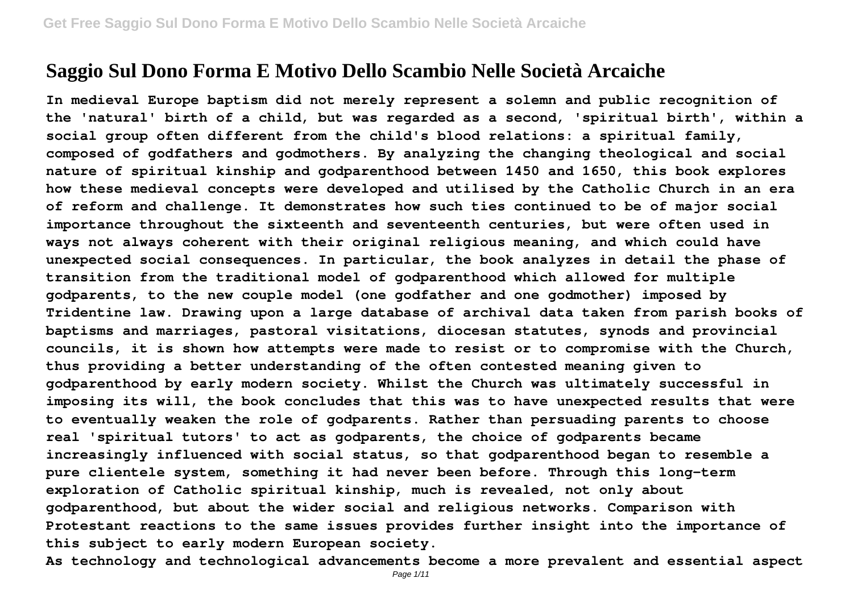## **Saggio Sul Dono Forma E Motivo Dello Scambio Nelle Società Arcaiche**

**In medieval Europe baptism did not merely represent a solemn and public recognition of the 'natural' birth of a child, but was regarded as a second, 'spiritual birth', within a social group often different from the child's blood relations: a spiritual family, composed of godfathers and godmothers. By analyzing the changing theological and social nature of spiritual kinship and godparenthood between 1450 and 1650, this book explores how these medieval concepts were developed and utilised by the Catholic Church in an era of reform and challenge. It demonstrates how such ties continued to be of major social importance throughout the sixteenth and seventeenth centuries, but were often used in ways not always coherent with their original religious meaning, and which could have unexpected social consequences. In particular, the book analyzes in detail the phase of transition from the traditional model of godparenthood which allowed for multiple godparents, to the new couple model (one godfather and one godmother) imposed by Tridentine law. Drawing upon a large database of archival data taken from parish books of baptisms and marriages, pastoral visitations, diocesan statutes, synods and provincial councils, it is shown how attempts were made to resist or to compromise with the Church, thus providing a better understanding of the often contested meaning given to godparenthood by early modern society. Whilst the Church was ultimately successful in imposing its will, the book concludes that this was to have unexpected results that were to eventually weaken the role of godparents. Rather than persuading parents to choose real 'spiritual tutors' to act as godparents, the choice of godparents became increasingly influenced with social status, so that godparenthood began to resemble a pure clientele system, something it had never been before. Through this long-term exploration of Catholic spiritual kinship, much is revealed, not only about godparenthood, but about the wider social and religious networks. Comparison with Protestant reactions to the same issues provides further insight into the importance of this subject to early modern European society.**

**As technology and technological advancements become a more prevalent and essential aspect**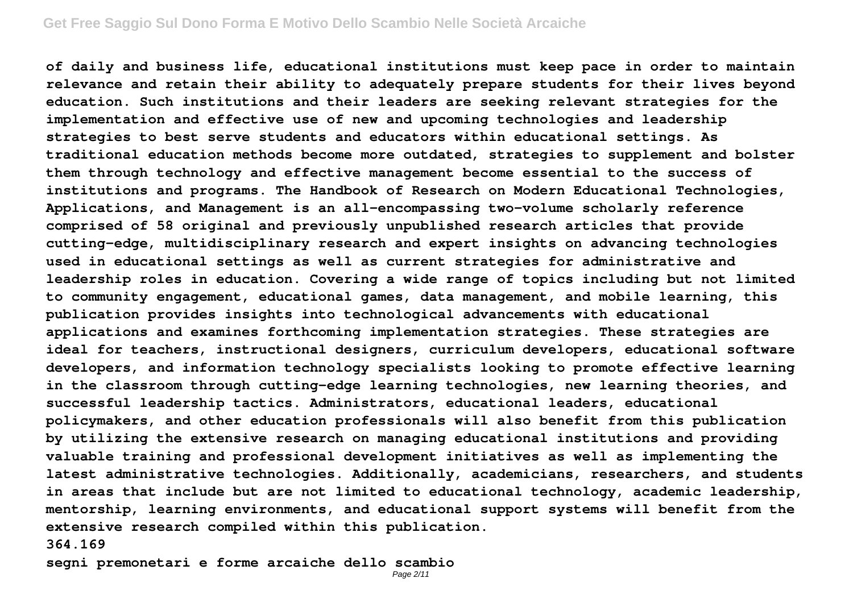**of daily and business life, educational institutions must keep pace in order to maintain relevance and retain their ability to adequately prepare students for their lives beyond education. Such institutions and their leaders are seeking relevant strategies for the implementation and effective use of new and upcoming technologies and leadership strategies to best serve students and educators within educational settings. As traditional education methods become more outdated, strategies to supplement and bolster them through technology and effective management become essential to the success of institutions and programs. The Handbook of Research on Modern Educational Technologies, Applications, and Management is an all-encompassing two-volume scholarly reference comprised of 58 original and previously unpublished research articles that provide cutting-edge, multidisciplinary research and expert insights on advancing technologies used in educational settings as well as current strategies for administrative and leadership roles in education. Covering a wide range of topics including but not limited to community engagement, educational games, data management, and mobile learning, this publication provides insights into technological advancements with educational applications and examines forthcoming implementation strategies. These strategies are ideal for teachers, instructional designers, curriculum developers, educational software developers, and information technology specialists looking to promote effective learning in the classroom through cutting-edge learning technologies, new learning theories, and successful leadership tactics. Administrators, educational leaders, educational policymakers, and other education professionals will also benefit from this publication by utilizing the extensive research on managing educational institutions and providing valuable training and professional development initiatives as well as implementing the latest administrative technologies. Additionally, academicians, researchers, and students in areas that include but are not limited to educational technology, academic leadership, mentorship, learning environments, and educational support systems will benefit from the extensive research compiled within this publication. 364.169**

**segni premonetari e forme arcaiche dello scambio**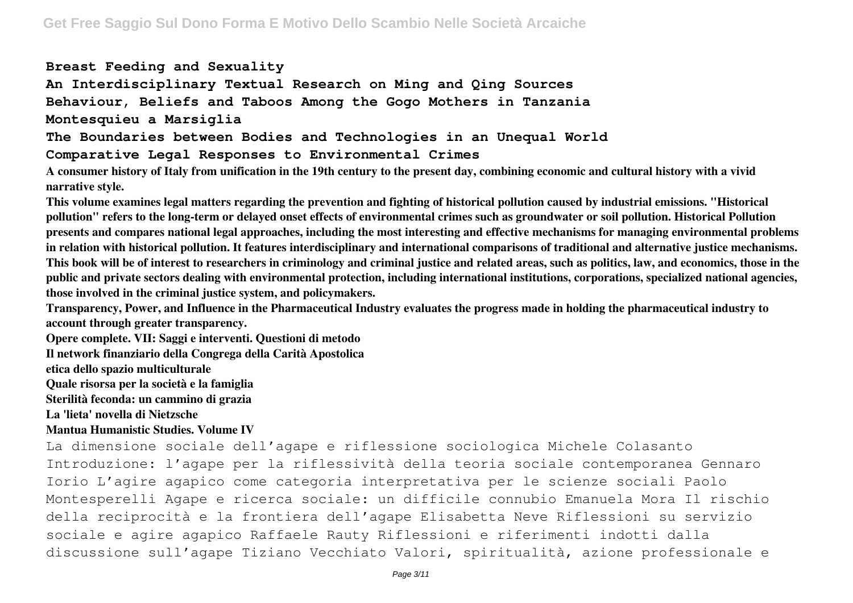## **Breast Feeding and Sexuality**

**An Interdisciplinary Textual Research on Ming and Qing Sources Behaviour, Beliefs and Taboos Among the Gogo Mothers in Tanzania**

**Montesquieu a Marsiglia**

**The Boundaries between Bodies and Technologies in an Unequal World**

**Comparative Legal Responses to Environmental Crimes**

**A consumer history of Italy from unification in the 19th century to the present day, combining economic and cultural history with a vivid narrative style.**

**This volume examines legal matters regarding the prevention and fighting of historical pollution caused by industrial emissions. "Historical pollution" refers to the long-term or delayed onset effects of environmental crimes such as groundwater or soil pollution. Historical Pollution presents and compares national legal approaches, including the most interesting and effective mechanisms for managing environmental problems in relation with historical pollution. It features interdisciplinary and international comparisons of traditional and alternative justice mechanisms. This book will be of interest to researchers in criminology and criminal justice and related areas, such as politics, law, and economics, those in the public and private sectors dealing with environmental protection, including international institutions, corporations, specialized national agencies, those involved in the criminal justice system, and policymakers.**

**Transparency, Power, and Influence in the Pharmaceutical Industry evaluates the progress made in holding the pharmaceutical industry to account through greater transparency.**

**Opere complete. VII: Saggi e interventi. Questioni di metodo**

**Il network finanziario della Congrega della Carità Apostolica**

**etica dello spazio multiculturale**

**Quale risorsa per la società e la famiglia**

**Sterilità feconda: un cammino di grazia**

**La 'lieta' novella di Nietzsche**

## **Mantua Humanistic Studies. Volume IV**

La dimensione sociale dell'agape e riflessione sociologica Michele Colasanto Introduzione: l'agape per la riflessività della teoria sociale contemporanea Gennaro Iorio L'agire agapico come categoria interpretativa per le scienze sociali Paolo Montesperelli Agape e ricerca sociale: un difficile connubio Emanuela Mora Il rischio della reciprocità e la frontiera dell'agape Elisabetta Neve Riflessioni su servizio sociale e agire agapico Raffaele Rauty Riflessioni e riferimenti indotti dalla discussione sull'agape Tiziano Vecchiato Valori, spiritualità, azione professionale e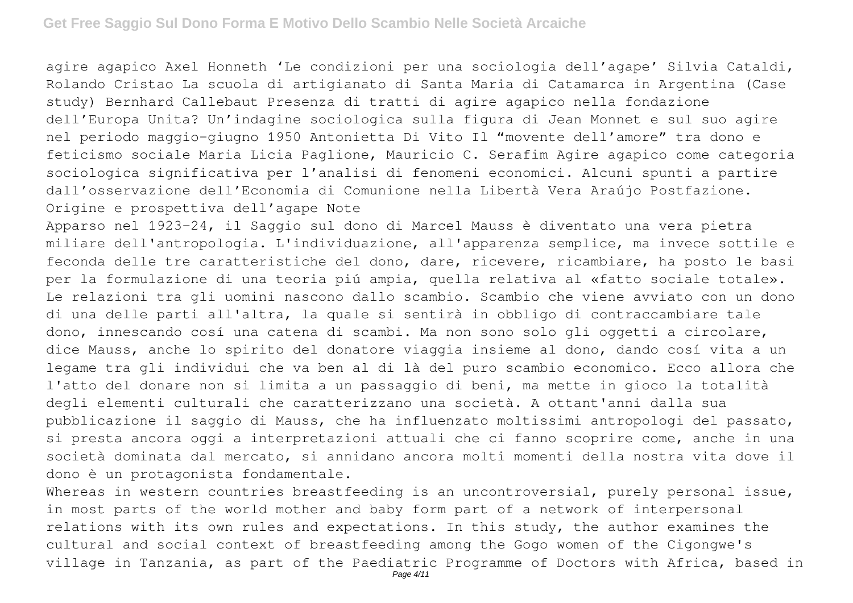agire agapico Axel Honneth 'Le condizioni per una sociologia dell'agape' Silvia Cataldi, Rolando Cristao La scuola di artigianato di Santa Maria di Catamarca in Argentina (Case study) Bernhard Callebaut Presenza di tratti di agire agapico nella fondazione dell'Europa Unita? Un'indagine sociologica sulla figura di Jean Monnet e sul suo agire nel periodo maggio-giugno 1950 Antonietta Di Vito Il "movente dell'amore" tra dono e feticismo sociale Maria Licia Paglione, Mauricio C. Serafim Agire agapico come categoria sociologica significativa per l'analisi di fenomeni economici. Alcuni spunti a partire dall'osservazione dell'Economia di Comunione nella Libertà Vera Araújo Postfazione. Origine e prospettiva dell'agape Note

Apparso nel 1923-24, il Saggio sul dono di Marcel Mauss è diventato una vera pietra miliare dell'antropologia. L'individuazione, all'apparenza semplice, ma invece sottile e feconda delle tre caratteristiche del dono, dare, ricevere, ricambiare, ha posto le basi per la formulazione di una teoria piú ampia, quella relativa al «fatto sociale totale». Le relazioni tra gli uomini nascono dallo scambio. Scambio che viene avviato con un dono di una delle parti all'altra, la quale si sentirà in obbligo di contraccambiare tale dono, innescando cosí una catena di scambi. Ma non sono solo gli oggetti a circolare, dice Mauss, anche lo spirito del donatore viaggia insieme al dono, dando cosí vita a un legame tra gli individui che va ben al di là del puro scambio economico. Ecco allora che l'atto del donare non si limita a un passaggio di beni, ma mette in gioco la totalità degli elementi culturali che caratterizzano una società. A ottant'anni dalla sua pubblicazione il saggio di Mauss, che ha influenzato moltissimi antropologi del passato, si presta ancora oggi a interpretazioni attuali che ci fanno scoprire come, anche in una società dominata dal mercato, si annidano ancora molti momenti della nostra vita dove il dono è un protagonista fondamentale.

Whereas in western countries breastfeeding is an uncontroversial, purely personal issue, in most parts of the world mother and baby form part of a network of interpersonal relations with its own rules and expectations. In this study, the author examines the cultural and social context of breastfeeding among the Gogo women of the Cigongwe's village in Tanzania, as part of the Paediatric Programme of Doctors with Africa, based in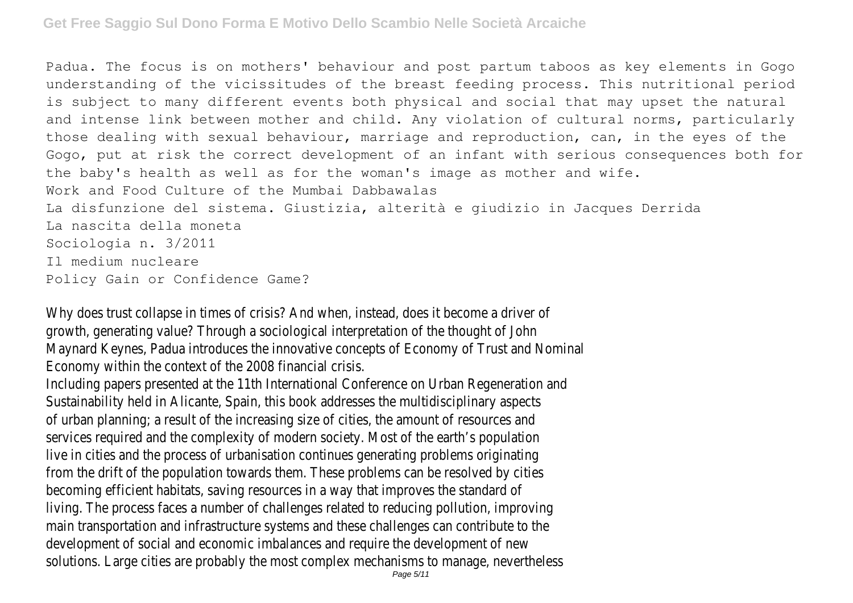Padua. The focus is on mothers' behaviour and post partum taboos as key elements in Gogo understanding of the vicissitudes of the breast feeding process. This nutritional period is subject to many different events both physical and social that may upset the natural and intense link between mother and child. Any violation of cultural norms, particularly those dealing with sexual behaviour, marriage and reproduction, can, in the eyes of the Gogo, put at risk the correct development of an infant with serious consequences both for the baby's health as well as for the woman's image as mother and wife. Work and Food Culture of the Mumbai Dabbawalas La disfunzione del sistema. Giustizia, alterità e giudizio in Jacques Derrida La nascita della moneta Sociologia n. 3/2011 Il medium nucleare Policy Gain or Confidence Game?

Why does trust collapse in times of crisis? And when, instead, does it become a driver of growth, generating value? Through a sociological interpretation of the thought of John Maynard Keynes, Padua introduces the innovative concepts of Economy of Trust and Nominal Economy within the context of the 2008 financial crisis.

Including papers presented at the 11th International Conference on Urban Regeneration and Sustainability held in Alicante, Spain, this book addresses the multidisciplinary aspects of urban planning; a result of the increasing size of cities, the amount of resources and services required and the complexity of modern society. Most of the earth's population live in cities and the process of urbanisation continues generating problems originating from the drift of the population towards them. These problems can be resolved by cities becoming efficient habitats, saving resources in a way that improves the standard of living. The process faces a number of challenges related to reducing pollution, improving main transportation and infrastructure systems and these challenges can contribute to the development of social and economic imbalances and require the development of new solutions. Large cities are probably the most complex mechanisms to manage, nevertheless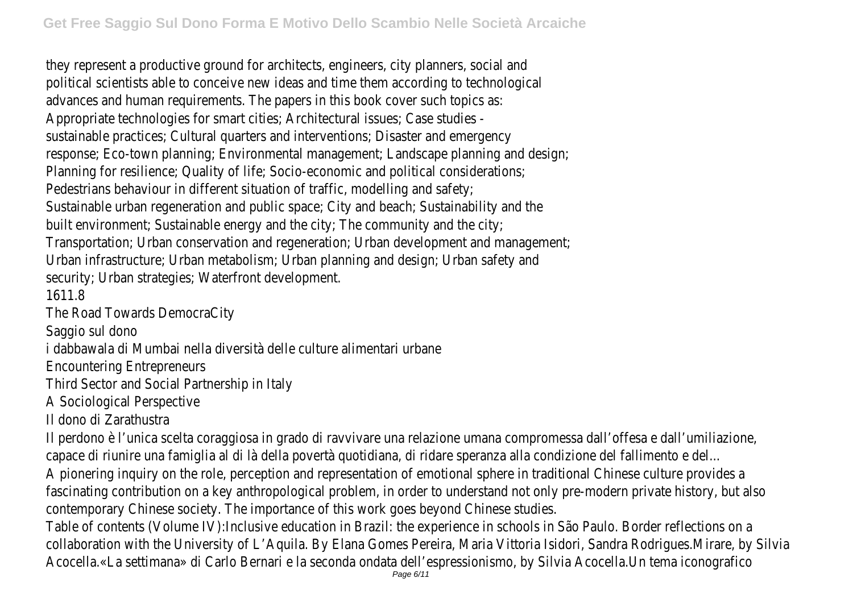they represent a productive ground for architects, engineers, city planners, social and political scientists able to conceive new ideas and time them according to technological advances and human requirements. The papers in this book cover such topics as: Appropriate technologies for smart cities; Architectural issues; Case studies sustainable practices; Cultural quarters and interventions; Disaster and emergency response; Eco-town planning; Environmental management; Landscape planning and design; Planning for resilience; Quality of life; Socio-economic and political considerations; Pedestrians behaviour in different situation of traffic, modelling and safety; Sustainable urban regeneration and public space; City and beach; Sustainability and the built environment; Sustainable energy and the city; The community and the city; Transportation; Urban conservation and regeneration; Urban development and management; Urban infrastructure; Urban metabolism; Urban planning and design; Urban safety and security; Urban strategies; Waterfront development.

1611.8

The Road Towards DemocraCity

Saggio sul dono

i dabbawala di Mumbai nella diversità delle culture alimentari urbane

Encountering Entrepreneurs

Third Sector and Social Partnership in Italy

A Sociological Perspective

Il dono di Zarathustra

Il perdono è l'unica scelta coraggiosa in grado di ravvivare una relazione umana compromessa dall'offesa e dall'umiliazione, capace di riunire una famiglia al di là della povertà quotidiana, di ridare speranza alla condizione del fallimento e del... A pionering inquiry on the role, perception and representation of emotional sphere in traditional Chinese culture provides a fascinating contribution on a key anthropological problem, in order to understand not only pre-modern private history, but also contemporary Chinese society. The importance of this work goes beyond Chinese studies.

Table of contents (Volume IV):Inclusive education in Brazil: the experience in schools in São Paulo. Border reflections on a collaboration with the University of L'Aquila. By Elana Gomes Pereira, Maria Vittoria Isidori, Sandra Rodrigues.Mirare, by Silvia Acocella.«La settimana» di Carlo Bernari e la seconda ondata dell'espressionismo, by Silvia Acocella.Un tema iconografico<br>Page 6/11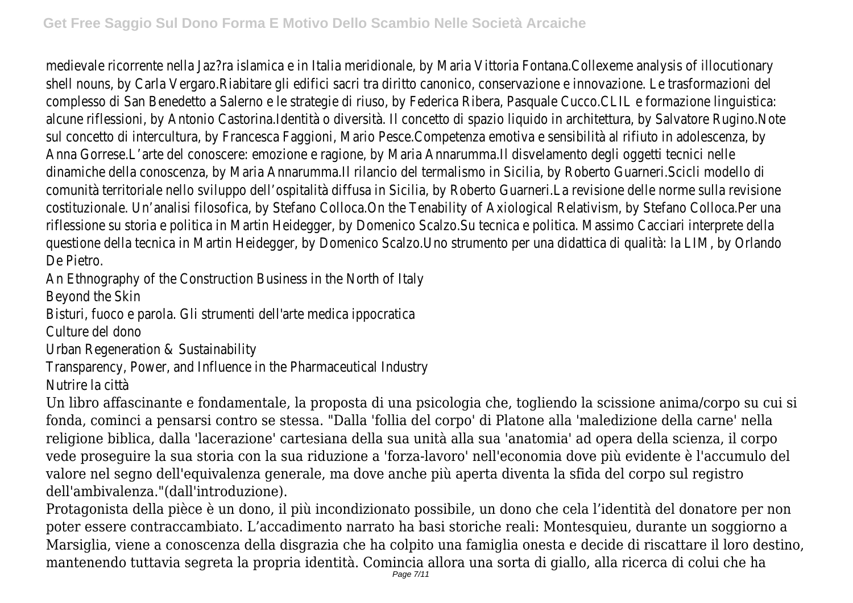medievale ricorrente nella Jaz?ra islamica e in Italia meridionale, by Maria Vittoria Fontana.Collexeme analysis of illocutionary shell nouns, by Carla Vergaro.Riabitare gli edifici sacri tra diritto canonico, conservazione e innovazione. Le trasformazioni del complesso di San Benedetto a Salerno e le strategie di riuso, by Federica Ribera, Pasquale Cucco.CLIL e formazione linguistica: alcune riflessioni, by Antonio Castorina.Identità o diversità. Il concetto di spazio liquido in architettura, by Salvatore Rugino.Note sul concetto di intercultura, by Francesca Faggioni, Mario Pesce.Competenza emotiva e sensibilità al rifiuto in adolescenza, by Anna Gorrese.L'arte del conoscere: emozione e ragione, by Maria Annarumma.Il disvelamento degli oggetti tecnici nelle dinamiche della conoscenza, by Maria Annarumma.Il rilancio del termalismo in Sicilia, by Roberto Guarneri.Scicli modello di comunità territoriale nello sviluppo dell'ospitalità diffusa in Sicilia, by Roberto Guarneri.La revisione delle norme sulla revisione costituzionale. Un'analisi filosofica, by Stefano Colloca.On the Tenability of Axiological Relativism, by Stefano Colloca.Per una riflessione su storia e politica in Martin Heidegger, by Domenico Scalzo.Su tecnica e politica. Massimo Cacciari interprete della questione della tecnica in Martin Heidegger, by Domenico Scalzo.Uno strumento per una didattica di qualità: la LIM, by Orlando De Pietro.

An Ethnography of the Construction Business in the North of Italy

Beyond the Skin

Bisturi, fuoco e parola. Gli strumenti dell'arte medica ippocratica

Culture del dono

Urban Regeneration & Sustainability

Transparency, Power, and Influence in the Pharmaceutical Industry

Nutrire la città

Un libro affascinante e fondamentale, la proposta di una psicologia che, togliendo la scissione anima/corpo su cui si fonda, cominci a pensarsi contro se stessa. "Dalla 'follia del corpo' di Platone alla 'maledizione della carne' nella religione biblica, dalla 'lacerazione' cartesiana della sua unità alla sua 'anatomia' ad opera della scienza, il corpo vede proseguire la sua storia con la sua riduzione a 'forza-lavoro' nell'economia dove più evidente è l'accumulo del valore nel segno dell'equivalenza generale, ma dove anche più aperta diventa la sfida del corpo sul registro dell'ambivalenza."(dall'introduzione).

Protagonista della pièce è un dono, il più incondizionato possibile, un dono che cela l'identità del donatore per non poter essere contraccambiato. L'accadimento narrato ha basi storiche reali: Montesquieu, durante un soggiorno a Marsiglia, viene a conoscenza della disgrazia che ha colpito una famiglia onesta e decide di riscattare il loro destino, mantenendo tuttavia segreta la propria identità. Comincia allora una sorta di giallo, alla ricerca di colui che ha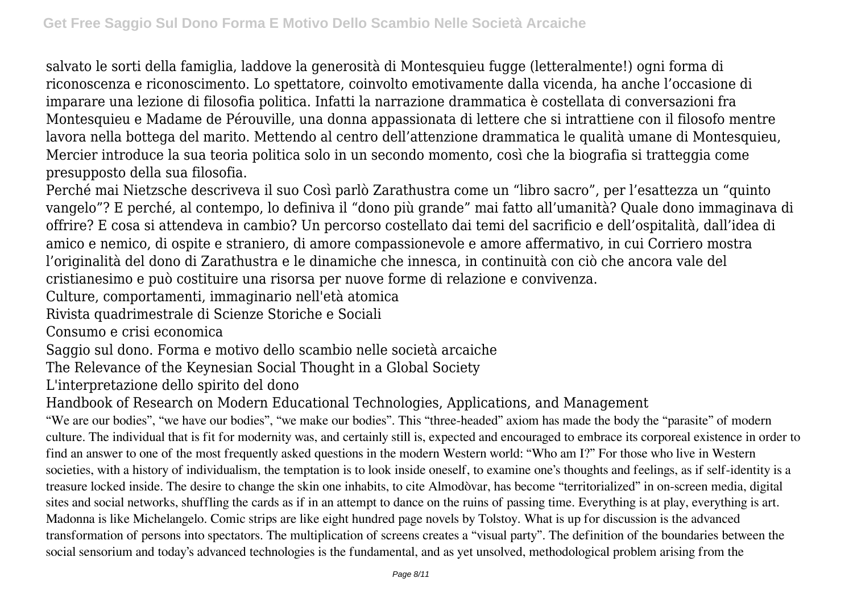salvato le sorti della famiglia, laddove la generosità di Montesquieu fugge (letteralmente!) ogni forma di riconoscenza e riconoscimento. Lo spettatore, coinvolto emotivamente dalla vicenda, ha anche l'occasione di imparare una lezione di filosofia politica. Infatti la narrazione drammatica è costellata di conversazioni fra Montesquieu e Madame de Pérouville, una donna appassionata di lettere che si intrattiene con il filosofo mentre lavora nella bottega del marito. Mettendo al centro dell'attenzione drammatica le qualità umane di Montesquieu, Mercier introduce la sua teoria politica solo in un secondo momento, così che la biografia si tratteggia come presupposto della sua filosofia.

Perché mai Nietzsche descriveva il suo Così parlò Zarathustra come un "libro sacro", per l'esattezza un "quinto vangelo"? E perché, al contempo, lo definiva il "dono più grande" mai fatto all'umanità? Quale dono immaginava di offrire? E cosa si attendeva in cambio? Un percorso costellato dai temi del sacrificio e dell'ospitalità, dall'idea di amico e nemico, di ospite e straniero, di amore compassionevole e amore affermativo, in cui Corriero mostra l'originalità del dono di Zarathustra e le dinamiche che innesca, in continuità con ciò che ancora vale del cristianesimo e può costituire una risorsa per nuove forme di relazione e convivenza.

Culture, comportamenti, immaginario nell'età atomica

Rivista quadrimestrale di Scienze Storiche e Sociali

Consumo e crisi economica

Saggio sul dono. Forma e motivo dello scambio nelle società arcaiche

The Relevance of the Keynesian Social Thought in a Global Society

L'interpretazione dello spirito del dono

Handbook of Research on Modern Educational Technologies, Applications, and Management

"We are our bodies", "we have our bodies", "we make our bodies". This "three-headed" axiom has made the body the "parasite" of modern culture. The individual that is fit for modernity was, and certainly still is, expected and encouraged to embrace its corporeal existence in order to find an answer to one of the most frequently asked questions in the modern Western world: "Who am I?" For those who live in Western societies, with a history of individualism, the temptation is to look inside oneself, to examine one's thoughts and feelings, as if self-identity is a treasure locked inside. The desire to change the skin one inhabits, to cite Almodòvar, has become "territorialized" in on-screen media, digital sites and social networks, shuffling the cards as if in an attempt to dance on the ruins of passing time. Everything is at play, everything is art. Madonna is like Michelangelo. Comic strips are like eight hundred page novels by Tolstoy. What is up for discussion is the advanced transformation of persons into spectators. The multiplication of screens creates a "visual party". The definition of the boundaries between the social sensorium and today's advanced technologies is the fundamental, and as yet unsolved, methodological problem arising from the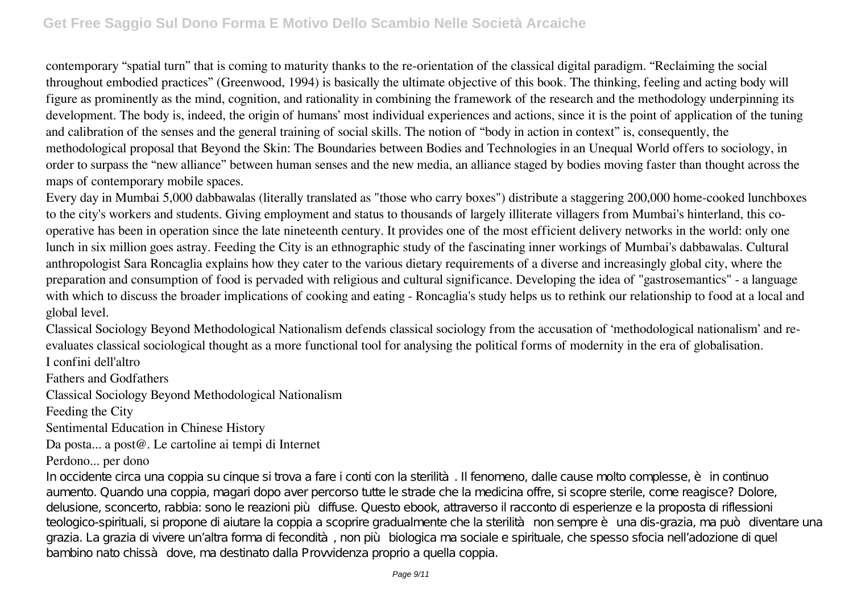contemporary "spatial turn" that is coming to maturity thanks to the re-orientation of the classical digital paradigm. "Reclaiming the social throughout embodied practices" (Greenwood, 1994) is basically the ultimate objective of this book. The thinking, feeling and acting body will figure as prominently as the mind, cognition, and rationality in combining the framework of the research and the methodology underpinning its development. The body is, indeed, the origin of humans' most individual experiences and actions, since it is the point of application of the tuning and calibration of the senses and the general training of social skills. The notion of "body in action in context" is, consequently, the methodological proposal that Beyond the Skin: The Boundaries between Bodies and Technologies in an Unequal World offers to sociology, in order to surpass the "new alliance" between human senses and the new media, an alliance staged by bodies moving faster than thought across the maps of contemporary mobile spaces.

Every day in Mumbai 5,000 dabbawalas (literally translated as "those who carry boxes") distribute a staggering 200,000 home-cooked lunchboxes to the city's workers and students. Giving employment and status to thousands of largely illiterate villagers from Mumbai's hinterland, this cooperative has been in operation since the late nineteenth century. It provides one of the most efficient delivery networks in the world: only one lunch in six million goes astray. Feeding the City is an ethnographic study of the fascinating inner workings of Mumbai's dabbawalas. Cultural anthropologist Sara Roncaglia explains how they cater to the various dietary requirements of a diverse and increasingly global city, where the preparation and consumption of food is pervaded with religious and cultural significance. Developing the idea of "gastrosemantics" - a language with which to discuss the broader implications of cooking and eating - Roncaglia's study helps us to rethink our relationship to food at a local and global level.

Classical Sociology Beyond Methodological Nationalism defends classical sociology from the accusation of 'methodological nationalism' and reevaluates classical sociological thought as a more functional tool for analysing the political forms of modernity in the era of globalisation.

I confini dell'altro

Fathers and Godfathers

Classical Sociology Beyond Methodological Nationalism

Feeding the City

Sentimental Education in Chinese History

Da posta... a post@. Le cartoline ai tempi di Internet

## Perdono... per dono

In occidente circa una coppia su cinque si trova a fare i conti con la sterilità. Il fenomeno, dalle cause molto complesse, è in continuo aumento. Quando una coppia, magari dopo aver percorso tutte le strade che la medicina offre, si scopre sterile, come reagisce? Dolore, delusione, sconcerto, rabbia: sono le reazioni più diffuse. Questo ebook, attraverso il racconto di esperienze e la proposta di riflessioni teologico-spirituali, si propone di aiutare la coppia a scoprire gradualmente che la sterilità non sempre è una dis-grazia, ma può diventare una grazia. La grazia di vivere un'altra forma di fecondità, non più biologica ma sociale e spirituale, che spesso sfocia nell'adozione di quel bambino nato chissà dove, ma destinato dalla Provvidenza proprio a quella coppia.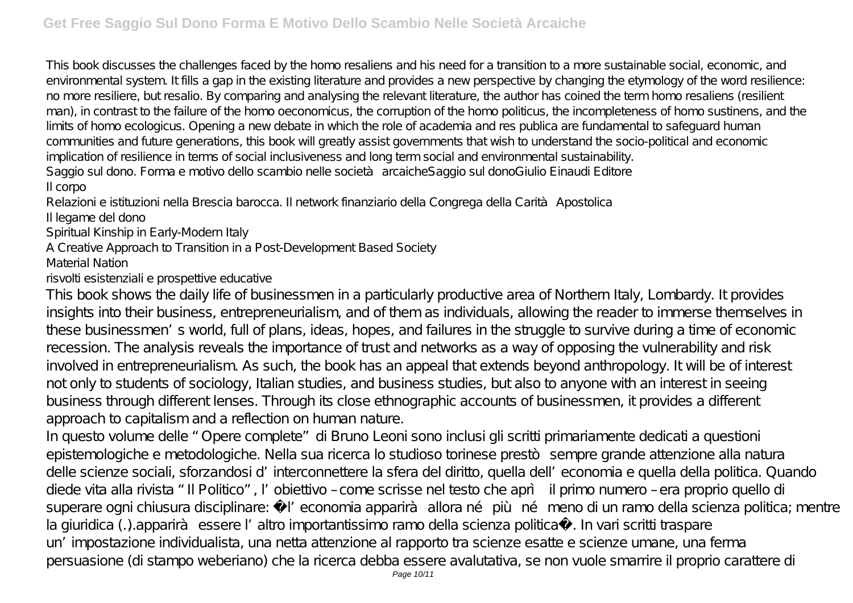This book discusses the challenges faced by the homo resaliens and his need for a transition to a more sustainable social, economic, and environmental system. It fills a gap in the existing literature and provides a new perspective by changing the etymology of the word resilience: no more resiliere, but resalio. By comparing and analysing the relevant literature, the author has coined the term homo resaliens (resilient man), in contrast to the failure of the homo oeconomicus, the corruption of the homo politicus, the incompleteness of homo sustinens, and the limits of homo ecologicus. Opening a new debate in which the role of academia and res publica are fundamental to safeguard human communities and future generations, this book will greatly assist governments that wish to understand the socio-political and economic implication of resilience in terms of social inclusiveness and long term social and environmental sustainability. Saggio sul dono. Forma e motivo dello scambio nelle società arcaicheSaggio sul donoGiulio Einaudi Editore Il corpo

Relazioni e istituzioni nella Brescia barocca. Il network finanziario della Congrega della Carità Apostolica

Il legame del dono

Spiritual Kinship in Early-Modern Italy

A Creative Approach to Transition in a Post-Development Based Society

Material Nation

risvolti esistenziali e prospettive educative

This book shows the daily life of businessmen in a particularly productive area of Northern Italy, Lombardy. It provides insights into their business, entrepreneurialism, and of them as individuals, allowing the reader to immerse themselves in these businessmen's world, full of plans, ideas, hopes, and failures in the struggle to survive during a time of economic recession. The analysis reveals the importance of trust and networks as a way of opposing the vulnerability and risk involved in entrepreneurialism. As such, the book has an appeal that extends beyond anthropology. It will be of interest not only to students of sociology, Italian studies, and business studies, but also to anyone with an interest in seeing business through different lenses. Through its close ethnographic accounts of businessmen, it provides a different approach to capitalism and a reflection on human nature.

In questo volume delle "Opere complete" di Bruno Leoni sono inclusi gli scritti primariamente dedicati a questioni epistemologiche e metodologiche. Nella sua ricerca lo studioso torinese prestò sempre grande attenzione alla natura delle scienze sociali, sforzandosi d'interconnettere la sfera del diritto, quella dell'economia e quella della politica. Quando diede vita alla rivista "Il Politico", l'obiettivo – come scrisse nel testo che aprì il primo numero – era proprio quello di superare ogni chiusura disciplinare: « l'economia apparirà allora né più né meno di un ramo della scienza politica; mentre la giuridica (…) apparirà essere l'altro importantissimo ramo della scienza politica». In vari scritti traspare un'impostazione individualista, una netta attenzione al rapporto tra scienze esatte e scienze umane, una ferma persuasione (di stampo weberiano) che la ricerca debba essere avalutativa, se non vuole smarrire il proprio carattere di